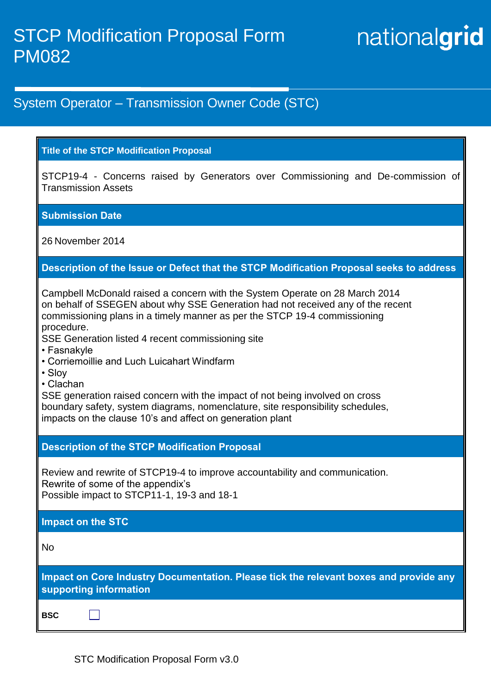# nationalgrid

# System Operator – Transmission Owner Code (STC)

#### **Title of the STCP Modification Proposal**

STCP19-4 - Concerns raised by Generators over Commissioning and De-commission of Transmission Assets

# **Submission Date**

26 November 2014

# **Description of the Issue or Defect that the STCP Modification Proposal seeks to address**

Campbell McDonald raised a concern with the System Operate on 28 March 2014 on behalf of SSEGEN about why SSE Generation had not received any of the recent commissioning plans in a timely manner as per the STCP 19-4 commissioning procedure.

SSE Generation listed 4 recent commissioning site

- Fasnakyle
- Corriemoillie and Luch Luicahart Windfarm
- Sloy
- Clachan

SSE generation raised concern with the impact of not being involved on cross boundary safety, system diagrams, nomenclature, site responsibility schedules, impacts on the clause 10's and affect on generation plant

# **Description of the STCP Modification Proposal**

Review and rewrite of STCP19-4 to improve accountability and communication. Rewrite of some of the appendix's Possible impact to STCP11-1, 19-3 and 18-1

# **Impact on the STC**

 $\Box$ 

No

**Impact on Core Industry Documentation. Please tick the relevant boxes and provide any supporting information**

**BSC**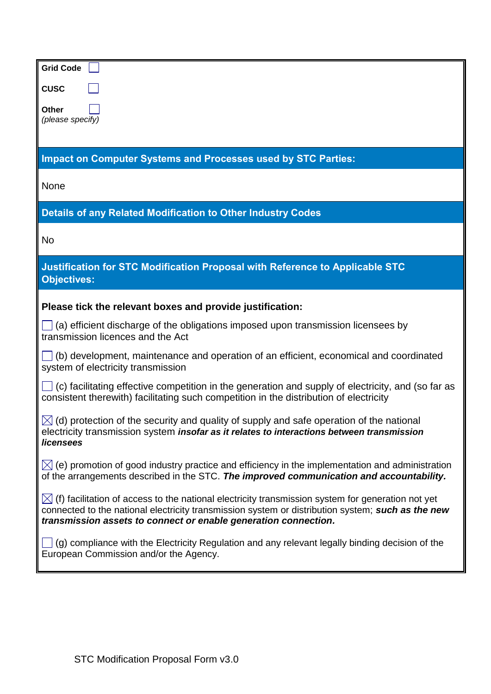| <b>Grid Code</b>                                                                                                                                                                                                                                                                      |  |  |
|---------------------------------------------------------------------------------------------------------------------------------------------------------------------------------------------------------------------------------------------------------------------------------------|--|--|
| <b>CUSC</b>                                                                                                                                                                                                                                                                           |  |  |
| <b>Other</b><br>(please specify)                                                                                                                                                                                                                                                      |  |  |
| <b>Impact on Computer Systems and Processes used by STC Parties:</b>                                                                                                                                                                                                                  |  |  |
| None                                                                                                                                                                                                                                                                                  |  |  |
| Details of any Related Modification to Other Industry Codes                                                                                                                                                                                                                           |  |  |
| No                                                                                                                                                                                                                                                                                    |  |  |
| Justification for STC Modification Proposal with Reference to Applicable STC<br><b>Objectives:</b>                                                                                                                                                                                    |  |  |
| Please tick the relevant boxes and provide justification:                                                                                                                                                                                                                             |  |  |
| (a) efficient discharge of the obligations imposed upon transmission licensees by<br>transmission licences and the Act                                                                                                                                                                |  |  |
| (b) development, maintenance and operation of an efficient, economical and coordinated<br>system of electricity transmission                                                                                                                                                          |  |  |
| (c) facilitating effective competition in the generation and supply of electricity, and (so far as<br>consistent therewith) facilitating such competition in the distribution of electricity                                                                                          |  |  |
| $\boxtimes$ (d) protection of the security and quality of supply and safe operation of the national<br>electricity transmission system insofar as it relates to interactions between transmission<br>licensees                                                                        |  |  |
| $\boxtimes$ (e) promotion of good industry practice and efficiency in the implementation and administration<br>of the arrangements described in the STC. The improved communication and accountability.                                                                               |  |  |
| $\boxtimes$ (f) facilitation of access to the national electricity transmission system for generation not yet<br>connected to the national electricity transmission system or distribution system; such as the new<br>transmission assets to connect or enable generation connection. |  |  |
| $\left[ \right]$ (g) compliance with the Electricity Regulation and any relevant legally binding decision of the<br>European Commission and/or the Agency.                                                                                                                            |  |  |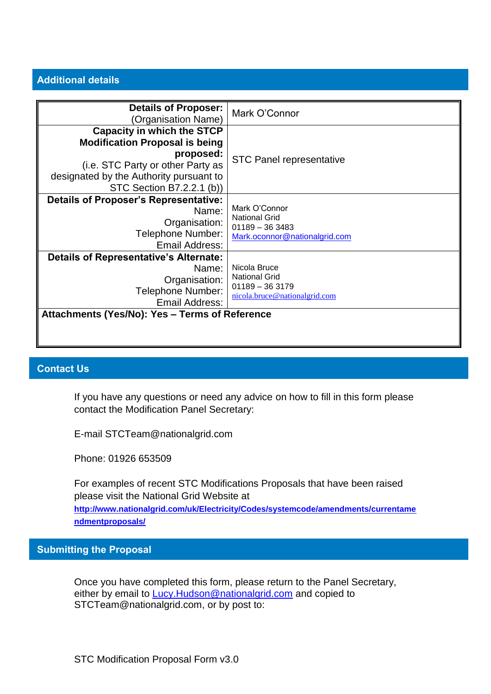#### **Additional details**

| <b>Details of Proposer:</b><br>(Organisation Name)                                                                                                                                                   | Mark O'Connor                                                                              |
|------------------------------------------------------------------------------------------------------------------------------------------------------------------------------------------------------|--------------------------------------------------------------------------------------------|
| <b>Capacity in which the STCP</b><br><b>Modification Proposal is being</b><br>proposed:<br>(i.e. STC Party or other Party as<br>designated by the Authority pursuant to<br>STC Section B7.2.2.1 (b)) | <b>STC Panel representative</b>                                                            |
| <b>Details of Proposer's Representative:</b><br>Name:<br>Organisation:<br>Telephone Number:<br>Email Address:                                                                                        | Mark O'Connor<br><b>National Grid</b><br>$01189 - 363483$<br>Mark.oconnor@nationalgrid.com |
| Details of Representative's Alternate:<br>Name:<br>Organisation:<br>Telephone Number:<br>Email Address:<br>Attachments (Yes/No): Yes - Terms of Reference                                            | Nicola Bruce<br><b>National Grid</b><br>$01189 - 363179$<br>nicola.bruce@nationalgrid.com  |

#### **Contact Us**

If you have any questions or need any advice on how to fill in this form please contact the Modification Panel Secretary:

E-mail STCTeam@nationalgrid.com

Phone: 01926 653509

For examples of recent STC Modifications Proposals that have been raised please visit the National Grid Website at **[http://www.nationalgrid.com/uk/Electricity/Codes/systemcode/amendments/currentame](http://www.nationalgrid.com/uk/Electricity/Codes/systemcode/amendments/currentamendmentproposals/) [ndmentproposals/](http://www.nationalgrid.com/uk/Electricity/Codes/systemcode/amendments/currentamendmentproposals/)**

**Submitting the Proposal**

Once you have completed this form, please return to the Panel Secretary, either by email to [Lucy.Hudson@nationalgrid.com](mailto:Lucy.Hudson@nationalgrid.com) and copied to STCTeam@nationalgrid.com, or by post to: